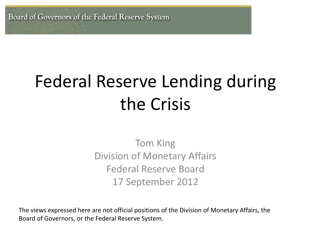Board of Governors of the Federal Reserve System

# Federal Reserve Lending during the Crisis

Tom King Division of Monetary Affairs Federal Reserve Board 17 September 2012

The views expressed here are not official positions of the Division of Monetary Affairs, the Board of Governors, or the Federal Reserve System.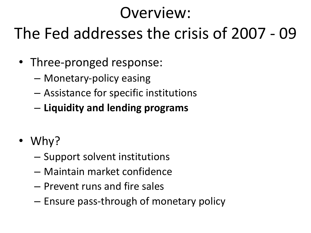### Overview:

### The Fed addresses the crisis of 2007 - 09

- Three-pronged response:
	- Monetary-policy easing
	- Assistance for specific institutions
	- **Liquidity and lending programs**
- Why?
	- Support solvent institutions
	- Maintain market confidence
	- Prevent runs and fire sales
	- Ensure pass-through of monetary policy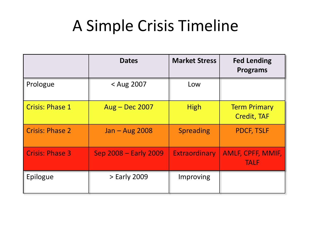#### A Simple Crisis Timeline

|                        | <b>Dates</b>          | <b>Market Stress</b> | <b>Fed Lending</b><br><b>Programs</b>     |
|------------------------|-----------------------|----------------------|-------------------------------------------|
| Prologue               | < Aug 2007            | Low                  |                                           |
| <b>Crisis: Phase 1</b> | Aug - Dec 2007        | <b>High</b>          | <b>Term Primary</b><br><b>Credit, TAF</b> |
| <b>Crisis: Phase 2</b> | Jan - Aug 2008        | <b>Spreading</b>     | <b>PDCF, TSLF</b>                         |
| <b>Crisis: Phase 3</b> | Sep 2008 - Early 2009 | <b>Extraordinary</b> | <b>AMLF, CPFF, MMIF,</b><br><b>TALF</b>   |
| Epilogue               | > Early 2009          | Improving            |                                           |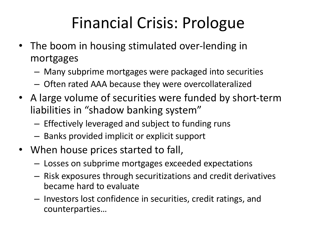### Financial Crisis: Prologue

- The boom in housing stimulated over-lending in mortgages
	- Many subprime mortgages were packaged into securities
	- Often rated AAA because they were overcollateralized
- A large volume of securities were funded by short-term liabilities in "shadow banking system"
	- Effectively leveraged and subject to funding runs
	- Banks provided implicit or explicit support
- When house prices started to fall,
	- Losses on subprime mortgages exceeded expectations
	- Risk exposures through securitizations and credit derivatives became hard to evaluate
	- Investors lost confidence in securities, credit ratings, and counterparties…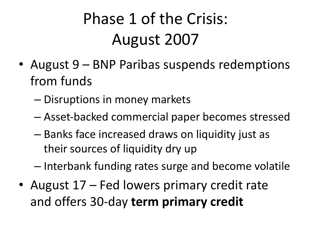# Phase 1 of the Crisis: August 2007

- August 9 BNP Paribas suspends redemptions from funds
	- Disruptions in money markets
	- Asset-backed commercial paper becomes stressed
	- Banks face increased draws on liquidity just as their sources of liquidity dry up
	- Interbank funding rates surge and become volatile
- August 17 Fed lowers primary credit rate and offers 30-day **term primary credit**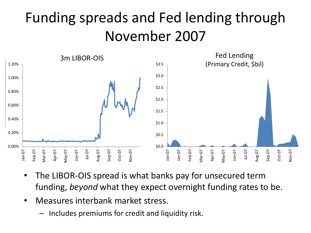#### Funding spreads and Fed lending through November 2007



- The LIBOR-OIS spread is what banks pay for unsecured term funding, *beyond* what they expect overnight funding rates to be.
- Measures interbank market stress.
	- Includes premiums for credit and liquidity risk.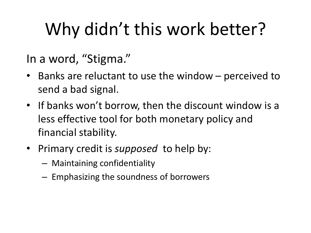# Why didn't this work better?

In a word, "Stigma."

- Banks are reluctant to use the window perceived to send a bad signal.
- If banks won't borrow, then the discount window is a less effective tool for both monetary policy and financial stability.
- Primary credit is *supposed* to help by:
	- Maintaining confidentiality
	- Emphasizing the soundness of borrowers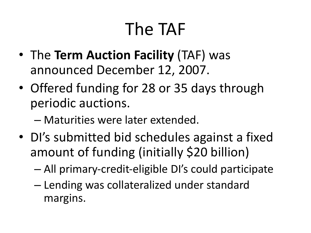# The TAF

- The **Term Auction Facility** (TAF) was announced December 12, 2007.
- Offered funding for 28 or 35 days through periodic auctions.
	- Maturities were later extended.
- DI's submitted bid schedules against a fixed amount of funding (initially \$20 billion)
	- All primary-credit-eligible DI's could participate
	- Lending was collateralized under standard margins.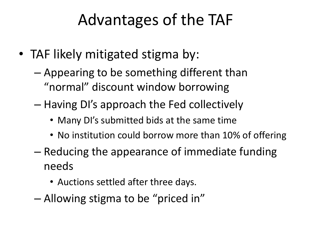### Advantages of the TAF

- TAF likely mitigated stigma by:
	- Appearing to be something different than "normal" discount window borrowing
	- Having DI's approach the Fed collectively
		- Many DI's submitted bids at the same time
		- No institution could borrow more than 10% of offering
	- Reducing the appearance of immediate funding needs
		- Auctions settled after three days.
	- Allowing stigma to be "priced in"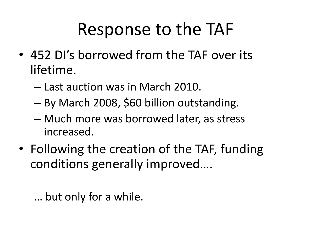# Response to the TAF

- 452 DI's borrowed from the TAF over its lifetime.
	- Last auction was in March 2010.
	- By March 2008, \$60 billion outstanding.
	- Much more was borrowed later, as stress increased.
- Following the creation of the TAF, funding conditions generally improved….

… but only for a while.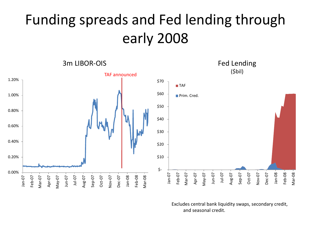#### Funding spreads and Fed lending through early 2008



Excludes central bank liquidity swaps, secondary credit, and seasonal credit.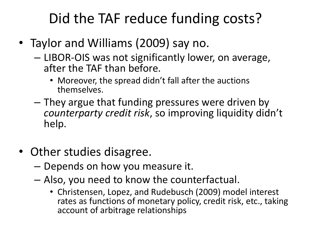#### Did the TAF reduce funding costs?

- Taylor and Williams (2009) say no.
	- LIBOR-OIS was not significantly lower, on average, after the TAF than before.
		- Moreover, the spread didn't fall after the auctions themselves.
	- They argue that funding pressures were driven by *counterparty credit risk*, so improving liquidity didn't help.
- Other studies disagree.
	- Depends on how you measure it.
	- Also, you need to know the counterfactual.
		- Christensen, Lopez, and Rudebusch (2009) model interest rates as functions of monetary policy, credit risk, etc., taking account of arbitrage relationships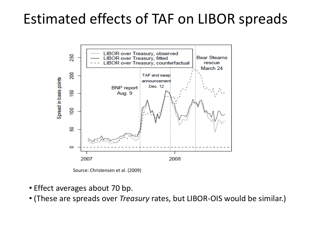#### Estimated effects of TAF on LIBOR spreads



Source: Christensen et al. (2009)

- Effect averages about 70 bp.
- (These are spreads over *Treasury* rates, but LIBOR-OIS would be similar.)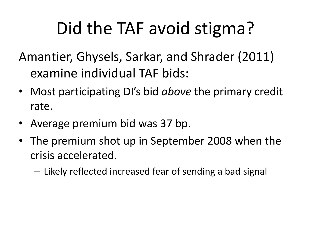# Did the TAF avoid stigma?

Amantier, Ghysels, Sarkar, and Shrader (2011) examine individual TAF bids:

- Most participating DI's bid *above* the primary credit rate.
- Average premium bid was 37 bp.
- The premium shot up in September 2008 when the crisis accelerated.

– Likely reflected increased fear of sending a bad signal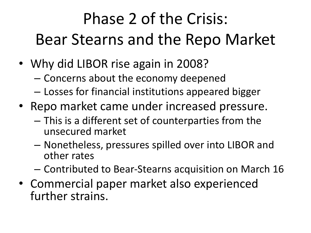# Phase 2 of the Crisis: Bear Stearns and the Repo Market

- Why did LIBOR rise again in 2008?
	- Concerns about the economy deepened
	- Losses for financial institutions appeared bigger
- Repo market came under increased pressure.
	- This is a different set of counterparties from the unsecured market
	- Nonetheless, pressures spilled over into LIBOR and other rates
	- Contributed to Bear-Stearns acquisition on March 16
- Commercial paper market also experienced further strains.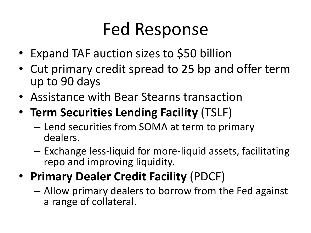### Fed Response

- Expand TAF auction sizes to \$50 billion
- Cut primary credit spread to 25 bp and offer term up to 90 days
- Assistance with Bear Stearns transaction
- **Term Securities Lending Facility** (TSLF)
	- Lend securities from SOMA at term to primary dealers.
	- Exchange less-liquid for more-liquid assets, facilitating repo and improving liquidity.
- **Primary Dealer Credit Facility** (PDCF)
	- Allow primary dealers to borrow from the Fed against a range of collateral.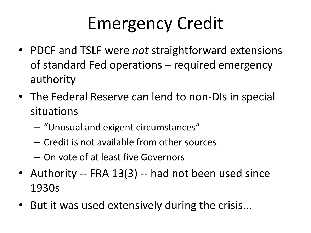# Emergency Credit

- PDCF and TSLF were *not* straightforward extensions of standard Fed operations – required emergency authority
- The Federal Reserve can lend to non-DIs in special situations
	- "Unusual and exigent circumstances"
	- Credit is not available from other sources
	- On vote of at least five Governors
- Authority -- FRA 13(3) -- had not been used since 1930s
- But it was used extensively during the crisis...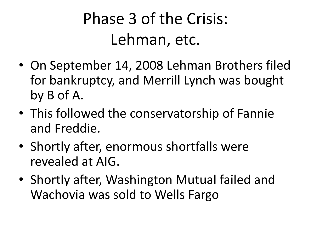### Phase 3 of the Crisis: Lehman, etc.

- On September 14, 2008 Lehman Brothers filed for bankruptcy, and Merrill Lynch was bought by B of A.
- This followed the conservatorship of Fannie and Freddie.
- Shortly after, enormous shortfalls were revealed at AIG.
- Shortly after, Washington Mutual failed and Wachovia was sold to Wells Fargo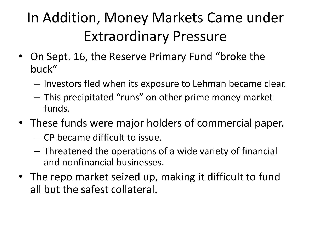### In Addition, Money Markets Came under Extraordinary Pressure

- On Sept. 16, the Reserve Primary Fund "broke the buck"
	- Investors fled when its exposure to Lehman became clear.
	- This precipitated "runs" on other prime money market funds.
- These funds were major holders of commercial paper.
	- CP became difficult to issue.
	- Threatened the operations of a wide variety of financial and nonfinancial businesses.
- The repo market seized up, making it difficult to fund all but the safest collateral.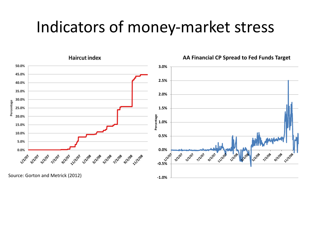#### Indicators of money-market stress

**Haircut index** 



**AA Financial CP Spread to Fed Funds Target**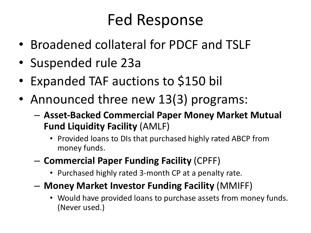### Fed Response

- Broadened collateral for PDCF and TSLF
- Suspended rule 23a
- Expanded TAF auctions to \$150 bil
- Announced three new 13(3) programs:
	- **Asset-Backed Commercial Paper Money Market Mutual Fund Liquidity Facility** (AMLF)
		- Provided loans to DIs that purchased highly rated ABCP from money funds.
	- **Commercial Paper Funding Facility** (CPFF)
		- Purchased highly rated 3-month CP at a penalty rate.
	- **Money Market Investor Funding Facility** (MMIFF)
		- Would have provided loans to purchase assets from money funds. (Never used.)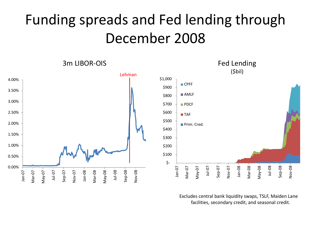#### Funding spreads and Fed lending through December 2008



Excludes central bank liquidity swaps, TSLF, Maiden Lane facilities, secondary credit, and seasonal credit.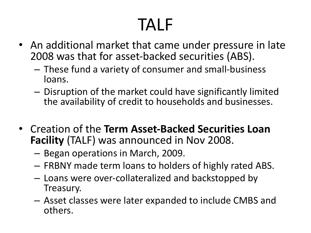# TALF

- An additional market that came under pressure in late 2008 was that for asset-backed securities (ABS).
	- These fund a variety of consumer and small-business loans.
	- Disruption of the market could have significantly limited the availability of credit to households and businesses.
- Creation of the **Term Asset-Backed Securities Loan Facility** (TALF) was announced in Nov 2008.
	- Began operations in March, 2009.
	- FRBNY made term loans to holders of highly rated ABS.
	- Loans were over-collateralized and backstopped by Treasury.
	- Asset classes were later expanded to include CMBS and others.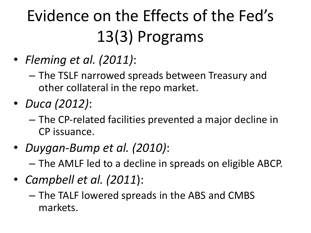# Evidence on the Effects of the Fed's 13(3) Programs

- *Fleming et al. (2011)*:
	- The TSLF narrowed spreads between Treasury and other collateral in the repo market.
- *Duca (2012)*:
	- The CP-related facilities prevented a major decline in CP issuance.
- *Duygan-Bump et al. (2010)*:
	- The AMLF led to a decline in spreads on eligible ABCP.
- *Campbell et al. (2011*):
	- The TALF lowered spreads in the ABS and CMBS markets.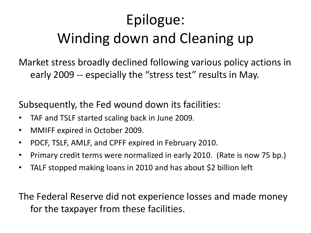#### Epilogue: Winding down and Cleaning up

Market stress broadly declined following various policy actions in early 2009 -- especially the "stress test" results in May.

Subsequently, the Fed wound down its facilities:

- TAF and TSLF started scaling back in June 2009.
- MMIFF expired in October 2009.
- PDCF, TSLF, AMLF, and CPFF expired in February 2010.
- Primary credit terms were normalized in early 2010. (Rate is now 75 bp.)
- TALF stopped making loans in 2010 and has about \$2 billion left

The Federal Reserve did not experience losses and made money for the taxpayer from these facilities.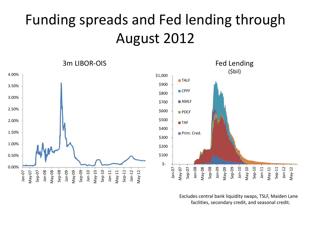#### Funding spreads and Fed lending through August 2012



Excludes central bank liquidity swaps, TSLF, Maiden Lane facilities, secondary credit, and seasonal credit.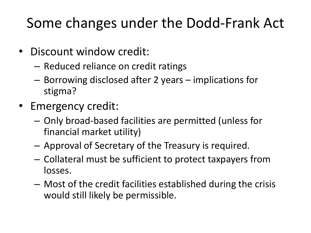#### Some changes under the Dodd-Frank Act

- Discount window credit:
	- Reduced reliance on credit ratings
	- Borrowing disclosed after 2 years implications for stigma?
- Emergency credit:
	- Only broad-based facilities are permitted (unless for financial market utility)
	- Approval of Secretary of the Treasury is required.
	- Collateral must be sufficient to protect taxpayers from losses.
	- Most of the credit facilities established during the crisis would still likely be permissible.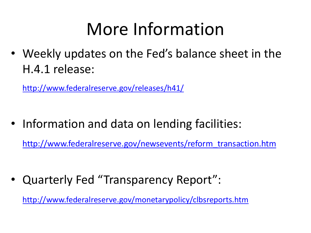# More Information

• Weekly updates on the Fed's balance sheet in the H.4.1 release:

<http://www.federalreserve.gov/releases/h41/>

• Information and data on lending facilities:

[http://www.federalreserve.gov/newsevents/reform\\_transaction.htm](http://www.federalreserve.gov/newsevents/reform_transaction.htm)

• Quarterly Fed "Transparency Report":

[http://www.federalreserve.gov/monetarypolicy/clbsreports.htm](http://www.federalreserve.gov/newsevents/reform_transaction.htm)